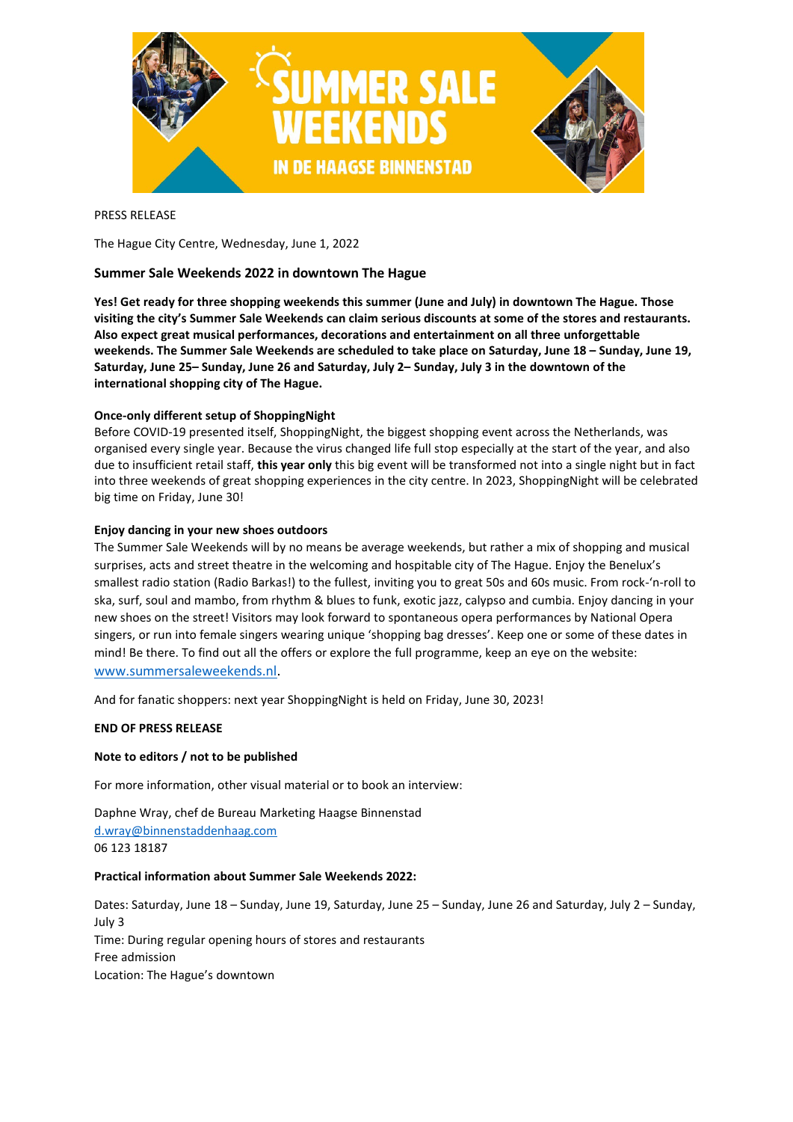

# PRESS RELEASE

The Hague City Centre, Wednesday, June 1, 2022

# **Summer Sale Weekends 2022 in downtown The Hague**

**Yes! Get ready for three shopping weekends this summer (June and July) in downtown The Hague. Those visiting the city's Summer Sale Weekends can claim serious discounts at some of the stores and restaurants. Also expect great musical performances, decorations and entertainment on all three unforgettable weekends. The Summer Sale Weekends are scheduled to take place on Saturday, June 18 – Sunday, June 19, Saturday, June 25– Sunday, June 26 and Saturday, July 2– Sunday, July 3 in the downtown of the international shopping city of The Hague.**

### **Once-only different setup of ShoppingNight**

Before COVID-19 presented itself, ShoppingNight, the biggest shopping event across the Netherlands, was organised every single year. Because the virus changed life full stop especially at the start of the year, and also due to insufficient retail staff, **this year only** this big event will be transformed not into a single night but in fact into three weekends of great shopping experiences in the city centre. In 2023, ShoppingNight will be celebrated big time on Friday, June 30!

### **Enjoy dancing in your new shoes outdoors**

The Summer Sale Weekends will by no means be average weekends, but rather a mix of shopping and musical surprises, acts and street theatre in the welcoming and hospitable city of The Hague. Enjoy the Benelux's smallest radio station (Radio Barkas!) to the fullest, inviting you to great 50s and 60s music. From rock-'n-roll to ska, surf, soul and mambo, from rhythm & blues to funk, exotic jazz, calypso and cumbia. Enjoy dancing in your new shoes on the street! Visitors may look forward to spontaneous opera performances by National Opera singers, or run into female singers wearing unique 'shopping bag dresses'. Keep one or some of these dates in mind! Be there. To find out all the offers or explore the full programme, keep an eye on the website: [www.summersaleweekends.nl.](http://www.summersaleweekends.nl/)

And for fanatic shoppers: next year ShoppingNight is held on Friday, June 30, 2023!

#### **END OF PRESS RELEASE**

#### **Note to editors / not to be published**

For more information, other visual material or to book an interview:

Daphne Wray, chef de Bureau Marketing Haagse Binnenstad [d.wray@binnenstaddenhaag.com](mailto:d.wray@binnenstaddenhaag.com) 06 123 18187

#### **Practical information about Summer Sale Weekends 2022:**

Dates: Saturday, June 18 – Sunday, June 19, Saturday, June 25 – Sunday, June 26 and Saturday, July 2 – Sunday, July 3 Time: During regular opening hours of stores and restaurants Free admission Location: The Hague's downtown